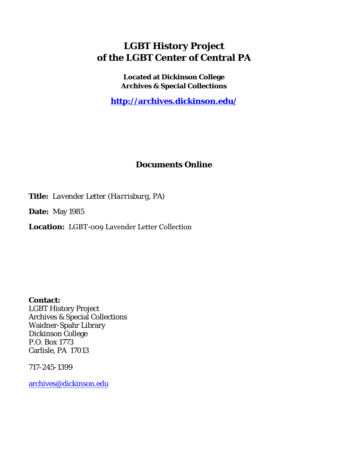## **LGBT History Project of the LGBT Center of Central PA**

**Located at Dickinson College Archives & Special Collections**

**<http://archives.dickinson.edu/>**

## **Documents Online**

**Title:** *Lavender Letter (Harrisburg, PA)*

**Date:** May 1985

**Location:** LGBT-009 Lavender Letter Collection

**Contact:**  LGBT History Project Archives & Special Collections Waidner-Spahr Library Dickinson College P.O. Box 1773 Carlisle, PA 17013

717-245-1399

[archives@dickinson.edu](mailto:archives@dickinson.edu)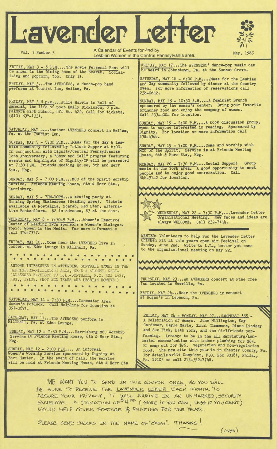## Lavender Letter



Vol. 3 Number 5

A Calendar of Events for and by Lesbian Women in the Central Pennsylvania area.

FRIDAY, MAY 3 - 8 P.M....The movie Personal Best will<br>be shown in the Dining Room of the Scarab. Socializing and popcorn, too. Only \$1.

FRIDAY, MAY 3...The AVENGERS, a dance-pop band **performs at** Tourist Inn, Hellam, **Pa.**

FRIDAY, MAY 3 8 p.m....Julie Harris in Bell of Amherat, the life of poet Emily Dickinson, 8 p.m. Palmyra High School, off Rt. 422. Call for tickets, (\$10) 83«-1331.

SATURDAY, MAY 4...Another AVENGERS concert in Hellam,

SUNDAY, MAY  $5 - 5:00$  P.M.... Mass for the Gay & Lesblan community followed by Fotluck Supper at 6:00. In conjunction with Dignity/Central Pennsylvanias loth Anniversary, a "Show and Tell" program featuring events and highlights of Dignity/CP will be presented at 7:30 P.M. Friends Meeting House, 6th and Herr Sts., Hbg.

SUNDAY, MAY <sup>5</sup> - 7:00 P.M....MCC of the Spirit Worship **Service.** Friends **Meeting** House, 6th & Herr Sts., Harrisburg.

SUNDAY, MAY <sup>5</sup> - 7PM-10PM...A skating party at Sinking Spring Skatearena (Reading Area). Tickets available at Nostalgia, Scarab, Red Star, Alternative Booksellers. \$2 in advance, \$3 at the door.

WEDNESDAY, MAY <sup>8</sup> - 7:30-9 P.M..•.Women'<sup>s</sup> Resource **Center of** Reading YWCA sponsors a **Women's** Dialogue. Topic: Women in the Media. For more information call 376-7317.

FRIDAY, MAY <sup>10</sup>...Come hear the AVENGERS live in concert at Eden Lounge in Millhall, Pa.

. . . . . . . . . . . . . . . . ANYONE INTERESTED IN ATTENDING SOFTBALL GAMES IN THE HARRISBURG-MIDDLETOJK AREA, SEND A STAMPED SELF-ADDRESSED ENVELOPE TO L.L.-SOFTBALL, P.O. BOX 1527, ADDRESSED ENVELOPE TO L.L.-SOFTBALL, P.O. BOX 1527, HBG., 17105. (NOT ALL TEAMS ARE LESBIAN HOWEVE.)

. . . . . . . . . . . . . . . . . . .

SATURDAY, MAY 11 - 7:30  $P.M...$  Lancaster Area Women's Potluck. Call Helpline for location at

SATURDAY, MAY 11... The AVENGERS MAY 11...The AVENGERS perform in<br>Pa. at Eden Lounge.

SUNDAY, MAY <sup>12</sup> - 7:30 P.M....Harrisburg MCC Worship Service at Friends Meeting House, 6th & Herr Sts., Hbg.

SUNDAY, MAY  $12 - 2:00 \text{ P.M...}$  An informal Women's Worship Service sponsored by Dignity at Fort Hunter. In the event of rain, the service will be held at Friends Meeting House, 6th & Herr Sts

FRIDAY, MAY 17...The AVENGERS' dance-pop music can be heard In Johnstown, Pa. at the Sunset Grove.

SATURDAY, MAY 18 - 6:00 P.M.... Mass for the Lesbian and Gay community followed by dinner at the Country Oven. For more information or reservations call 238-0642.

SUNDAY, MAY 19 - 10:30 A.M....A feminist Brunch sponsored by the women's center. Bring your favorite brunchey food and enjoy the company of women. Call 233-4004 for location.

SUNDAY, MAY <sup>19</sup> - 2:00 **P.M...**.A book discussion group, **epen** to anyone **interested** in reading. Sponsored **by** Dignity. For location or more information call 238-4368**.** 

SUNDAY, MAY 19 - 7:00 P.M....Come and worship with MCC of the Spirit. Service is at Friends Meeting House, 6th & Herr Sts., Hbg.

MONDAY, MAY 20 - 7:30 P.M....Social Support Group meets in the York area. A good opportunity to meet people and to enjoy good conversation. Call 848-9142 for location.





WEDNESDAY. MAY <sup>22</sup> - 7:30 P.M....Lavender Letter Organizational Meeting. New faces and ideas are always WELCOME. Call 232-7144.

WANTED: Volunteers to help run the Lavender Letter Chicken Pit at this years open air Festival on Sunday, June 2nd. Write to L.L., better yet come to the organizational meeting on May 22.



THURSDAY, MAY <sup>23</sup>...An AVENGERS concert at Pine Tree Inn located in Newville, Pa.

FRIDAY, MAY 24...Hear the AVENGERS in concert at Hogan's in Lebanon, Pa.

ERIDAY, MAY 24 - MONDAY, MAY 27...CAMPFEST '85 -<sup>A</sup> Celebration of Womyn. June Millington, Kay Gardener, Gayle Marie, Ginni Clemmens, Diane Lindsay and Sue Fink, Beth York, and the Girlfriends performing. Arrange to be in the all Harrisburg/Lancaster womens'cabins with indoor plumbing for \$85. or camp out for \$75. Vegetarian and non-vegetarian food. The new site this year is in Chester County, Pa. For details write Campfest, P.O. Box 30381, Phila., Pa. 19103 or call 215-352-7748.

WE WANT YOU TO SEND IN THIS COUPON ONCE, SO YOU WILL BE SURE TO RECEIVE THE LAVENDER LETTER EACH MONTH. To ASSURE YOUR PRIVACY, IT WILL ARRIVE IN AN UNMARKED, SECURITY  $ENVELOPE.$  A DONATION OF  $44^\infty$  (MORE IF YOU CAN, LESS IF YOU CANT) WOULD HELP COVER POSTAGE & PRINTING FOR THE YEAR.

PLEASE SEND CHECKS IN THE NAME OF CASH". THANKS!

 $(oyqR)$ 

 $\mathcal{L} = \{ \mathcal{L} \mid \mathcal{L} \in \mathcal{L} \}$